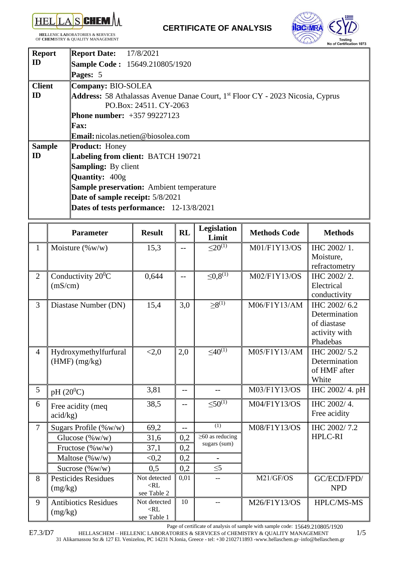

**HEL**LENIC **LA**BORATORIES & **S**ERVICES OF **CHEM**ISTRY & QUALITY MANAGEMENT



| <b>Report</b> | <b>Report Date:</b> 17/8/2021                                                                     |
|---------------|---------------------------------------------------------------------------------------------------|
| ID            | <b>Sample Code: 15649.210805/1920</b>                                                             |
|               | Pages: 5                                                                                          |
| <b>Client</b> | Company: BIO-SOLEA                                                                                |
| ID            | <b>Address:</b> 58 Athalassas Avenue Danae Court, 1 <sup>st</sup> Floor CY - 2023 Nicosia, Cyprus |
|               | PO.Box: 24511. CY-2063                                                                            |
|               | <b>Phone number:</b> +357 99227123                                                                |
|               | <b>Fax:</b>                                                                                       |
|               | Email: nicolas.netien@biosolea.com                                                                |
| <b>Sample</b> | <b>Product: Honey</b>                                                                             |
| ID            | Labeling from client: BATCH 190721                                                                |
|               | <b>Sampling:</b> By client                                                                        |
|               | <b>Quantity: 400g</b>                                                                             |
|               | <b>Sample preservation:</b> Ambient temperature                                                   |
|               | Date of sample receipt: 5/8/2021                                                                  |
|               | Dates of tests performance: 12-13/8/2021                                                          |
|               |                                                                                                   |

|                | <b>Parameter</b>                         | <b>Result</b>                         | <b>RL</b> | Legislation<br>Limit                  | <b>Methods Code</b> | <b>Methods</b>                                                            |
|----------------|------------------------------------------|---------------------------------------|-----------|---------------------------------------|---------------------|---------------------------------------------------------------------------|
| $\mathbf{1}$   | Moisture $(\%w/w)$                       | 15,3                                  | $-$       | $<20^{(1)}$                           | M01/F1Y13/OS        | IHC 2002/1.                                                               |
|                |                                          |                                       |           |                                       |                     | Moisture,<br>refractometry                                                |
| $\overline{2}$ | Conductivity $20^0C$<br>(mS/cm)          | 0,644                                 | $-$       | $\leq 0,8^{(1)}$                      | M02/F1Y13/OS        | IHC 2002/2.<br>Electrical<br>conductivity                                 |
| 3              | Diastase Number (DN)                     | 15,4                                  | 3,0       | $\geq 8^{(1)}$                        | M06/F1Y13/AM        | IHC 2002/6.2<br>Determination<br>of diastase<br>activity with<br>Phadebas |
| $\overline{4}$ | Hydroxymethylfurfural<br>$(HMF)$ (mg/kg) | < 2, 0                                | 2,0       | $\leq 40^{(1)}$                       | M05/F1Y13/AM        | IHC 2002/5.2<br>Determination<br>of HMF after<br>White                    |
| 5              | $pH(20^0C)$                              | 3,81                                  | $-$       | $-$                                   | M03/F1Y13/OS        | IHC 2002/4. pH                                                            |
| 6              | Free acidity (meq<br>acid/kg)            | 38,5                                  | $-$       | $< 50^{(1)}$                          | M04/F1Y13/OS        | IHC 2002/4.<br>Free acidity                                               |
| $\overline{7}$ | Sugars Profile (%w/w)                    | 69,2                                  | $-$       | (1)                                   | M08/F1Y13/OS        | IHC 2002/7.2                                                              |
|                | Glucose (%w/w)                           | 31,6                                  | 0,2       | $\geq$ 60 as reducing<br>sugars (sum) |                     | HPLC-RI                                                                   |
|                | Fructose (%w/w)                          | 37,1                                  | 0,2       |                                       |                     |                                                                           |
|                | Maltose (%w/w)                           | < 0, 2                                | 0,2       |                                       |                     |                                                                           |
|                | Sucrose (%w/w)                           | 0,5                                   | 0,2       | $\leq 5$                              |                     |                                                                           |
| 8              | <b>Pesticides Residues</b><br>(mg/kg)    | Not detected<br>$<$ RL<br>see Table 2 | 0,01      |                                       | M21/GF/OS           | GC/ECD/FPD/<br><b>NPD</b>                                                 |
| 9              | <b>Antibiotics Residues</b><br>(mg/kg)   | Not detected<br>$<$ RL<br>see Table 1 | 10        |                                       | M26/F1Y13/OS        | HPLC/MS-MS                                                                |

Page of certificate of analysis of sample with sample code: 15649.210805/1920

HELLASCHEM – HELLENIC LABORATORIES & SERVICES of CHEMISTRY & QUALITY MANAGEMENT 1/5 31 Alikarnassou Str.& 127 El. Venizelou, PC 14231 N.Ionia, Greece - tel: +30 2102711893 -www.hellaschem.gr–info@hellaschem.gr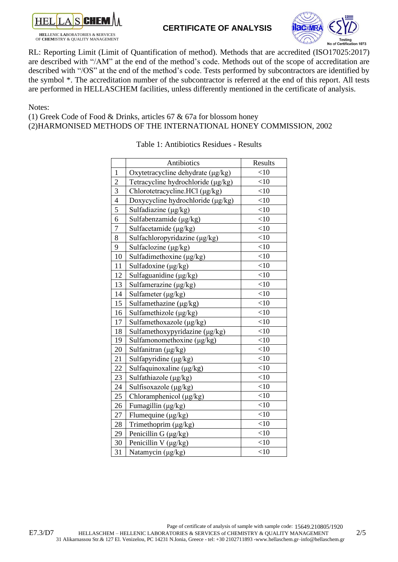

OF **CHEM**ISTRY & QUALITY MANAGEMENT

### **CERTIFICATE OF ANALYSIS**



RL: Reporting Limit (Limit of Quantification of method). Methods that are accredited (ISO17025:2017) are described with "/AM" at the end of the method's code. Methods out of the scope of accreditation are described with "/OS" at the end of the method's code. Tests performed by subcontractors are identified by the symbol \*. The accreditation number of the subcontractor is referred at the end of this report. All tests are performed in HELLASCHEM facilities, unless differently mentioned in the certificate of analysis.

Notes:

(1) Greek Code of Food & Drinks, articles 67 & 67a for blossom honey

(2)HARMONISED METHODS OF THE INTERNATIONAL HONEY COMMISSION, 2002

|                | Antibiotics                        | Results |
|----------------|------------------------------------|---------|
| $\mathbf{1}$   | Oxytetracycline dehydrate (µg/kg)  | <10     |
| $\overline{2}$ | Tetracycline hydrochloride (µg/kg) | $<$ 10  |
| 3              | Chlorotetracycline.HCl (μg/kg)     | $<$ 10  |
| $\overline{4}$ | Doxycycline hydrochloride (µg/kg)  | <10     |
| 5              | Sulfadiazine (μg/kg)               | <10     |
| 6              | Sulfabenzamide $(\mu g/kg)$        | $<$ 10  |
| $\overline{7}$ | Sulfacetamide (µg/kg)              | <10     |
| 8              | Sulfachloropyridazine (μg/kg)      | $<$ 10  |
| 9              | Sulfaclozine (µg/kg)               | $<$ 10  |
| 10             | Sulfadimethoxine $(\mu g/kg)$      | <10     |
| 11             | Sulfadoxine $(\mu g/kg)$           | $<$ 10  |
| 12             | Sulfaguanidine (μg/kg)             | $<$ 10  |
| 13             | Sulfamerazine $(\mu g/kg)$         | $<$ 10  |
| 14             | Sulfameter (µg/kg)                 | $<$ 10  |
| 15             | Sulfamethazine (μg/kg)             | $<$ 10  |
| 16             | Sulfamethizole (µg/kg)             | $<$ 10  |
| 17             | Sulfamethoxazole (μg/kg)           | <10     |
| 18             | Sulfamethoxypyridazine (μg/kg)     | $<$ 10  |
| 19             | Sulfamonomethoxine (μg/kg)         | <10     |
| 20             | Sulfanitran (µg/kg)                | $<$ 10  |
| 21             | Sulfapyridine (μg/kg)              | $<$ 10  |
| 22             | Sulfaquinoxaline (μg/kg)           | $<$ 10  |
| 23             | Sulfathiazole (μg/kg)              | $<$ 10  |
| 24             | Sulfisoxazole (μg/kg)              | $<$ 10  |
| 25             | Chloramphenicol (µg/kg)            | <10     |
| 26             | Fumagillin (μg/kg)                 | $<$ 10  |
| 27             | Flumequine $(\mu g/kg)$            | $<$ 10  |
| 28             | Trimethoprim (μg/kg)               | $<$ 10  |
| 29             | Penicillin G (µg/kg)               | $<$ 10  |
| 30             | Penicillin V (µg/kg)               | <10     |
| 31             | Natamycin (µg/kg)                  | $<$ 10  |

#### Table 1: Antibiotics Residues - Results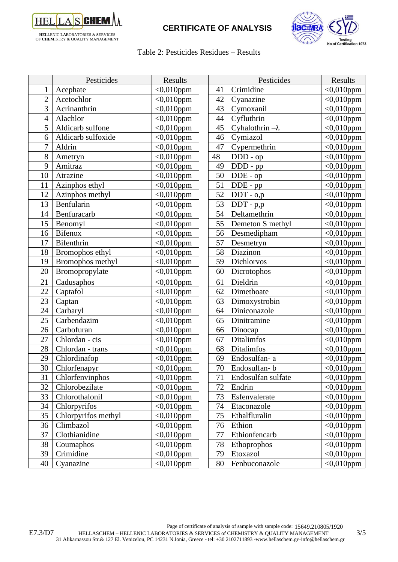

# **CERTIFICATE OF ANALYSIS**



#### Table 2: Pesticides Residues – Results

|                | Pesticides          | Results          |    | Pesticides             | Results            |
|----------------|---------------------|------------------|----|------------------------|--------------------|
| 1              | Acephate            | $<0,010$ ppm     | 41 | Crimidine              | $<0,010$ ppm       |
| $\overline{2}$ | Acetochlor          | $<0.010$ ppm     | 42 | Cyanazine              | $<0,010$ ppm       |
| 3              | Acrinanthrin        | $<0,010$ ppm     | 43 | Cymoxanil              | $<0,010$ ppm       |
| $\overline{4}$ | Alachlor            | $<0,010$ ppm     | 44 | Cyfluthrin             | $<0,010$ ppm       |
| 5              | Aldicarb sulfone    | $<0,010$ ppm     | 45 | Cyhalothrin $-\lambda$ | $<0,010$ ppm       |
| 6              | Aldicarb sulfoxide  | $<0,010$ ppm     | 46 | Cymiazol               | $<$ 0,010ppm       |
| $\overline{7}$ | Aldrin              | $<0,010$ ppm     | 47 | Cypermethrin           | $<$ 0,010ppm       |
| 8              | Ametryn             | $<0,010$ ppm     | 48 | DDD - op               | $<0,010$ ppm       |
| 9              | Amitraz             | $<0,010$ ppm     | 49 | DDD - pp               | $<$ 0,010ppm       |
| 10             | Atrazine            | $\sim 0.010$ ppm | 50 | DDE - op               | $<$ 0,010ppm       |
| 11             | Azinphos ethyl      | $<0,010$ ppm     | 51 | DDE - pp               | $<0,010$ ppm       |
| 12             | Azinphos methyl     | $<0,010$ ppm     | 52 | $DDT - o,p$            | $<0,010$ ppm       |
| 13             | Benfularin          | $<0,010$ ppm     | 53 | $DDT - p,p$            | $<0,010$ ppm       |
| 14             | Benfuracarb         | $<0,010$ ppm     | 54 | Deltamethrin           | $<$ 0,010ppm       |
| 15             | Benomyl             | $\sim 0.010$ ppm | 55 | Demeton S methyl       | $<0,010$ ppm       |
| 16             | <b>Bifenox</b>      | $<0,010$ ppm     | 56 | Desmedipham            | $<0,010$ ppm       |
| 17             | Bifenthrin          | $<0,010$ ppm     | 57 | Desmetryn              | $<0,010$ ppm       |
| 18             | Bromophos ethyl     | $<0.010$ ppm     | 58 | Diazinon               | $<0,010$ ppm       |
| 19             | Bromophos methyl    | $<0,010$ ppm     | 59 | Dichlorvos             | $<$ 0,010ppm       |
| 20             | Bromopropylate      | $<0,010$ ppm     | 60 | Dicrotophos            | $\leq 0,010$ ppm   |
| 21             | Cadusaphos          | $<0,010$ ppm     | 61 | Dieldrin               | $<$ 0,010ppm       |
| 22             | Captafol            | $<0,010$ ppm     | 62 | Dimethoate             | $\sqrt{0.010}$ ppm |
| 23             | Captan              | $<0,010$ ppm     | 63 | Dimoxystrobin          | $<0,010$ ppm       |
| 24             | Carbaryl            | $<0,010$ ppm     | 64 | Diniconazole           | $<$ 0,010ppm       |
| 25             | Carbendazim         | $<0,010$ ppm     | 65 | Dinitramine            | $<0,010$ ppm       |
| 26             | Carbofuran          | $<0,010$ ppm     | 66 | Dinocap                | $<0,010$ ppm       |
| 27             | Chlordan - cis      | $<0,010$ ppm     | 67 | <b>Ditalimfos</b>      | $<$ 0,010ppm       |
| 28             | Chlordan - trans    | $<0,010$ ppm     | 68 | <b>Ditalimfos</b>      | $<0,010$ ppm       |
| 29             | Chlordinafop        | $<0,010$ ppm     | 69 | Endosulfan-a           | $<$ 0,010ppm       |
| 30             | Chlorfenapyr        | $<0,010$ ppm     | 70 | Endosulfan-b           | $<$ 0,010ppm       |
| 31             | Chlorfenvinphos     | $<0,010$ ppm     | 71 | Endosulfan sulfate     | $<0,010$ ppm       |
| 32             | Chlorobezilate      | $<0,010$ ppm     | 72 | Endrin                 | $<0,010$ ppm       |
| 33             | Chlorothalonil      | $<0,010$ ppm     | 73 | Esfenvalerate          | $<0,010$ ppm       |
| 34             | Chlorpyrifos        | $<$ 0,010ppm     | 74 | Etaconazole            | $<0,010$ ppm       |
| 35             | Chlorpyrifos methyl | $<0,010$ ppm     | 75 | Ethalfluralin          | $<0,010$ ppm       |
| 36             | Climbazol           | $<0,010$ ppm     | 76 | Ethion                 | $<0,010$ ppm       |
| 37             | Clothianidine       | $<0,010$ ppm     | 77 | Ethionfencarb          | $<0,010$ ppm       |
| 38             | Coumaphos           | $<0,010$ ppm     | 78 | Ethoprophos            | $<0,010$ ppm       |
| 39             | Crimidine           | $<0,010$ ppm     | 79 | Etoxazol               | $<$ 0,010ppm       |
| 40             | Cyanazine           | $<0,010$ ppm     | 80 | Fenbuconazole          | $<0,010$ ppm       |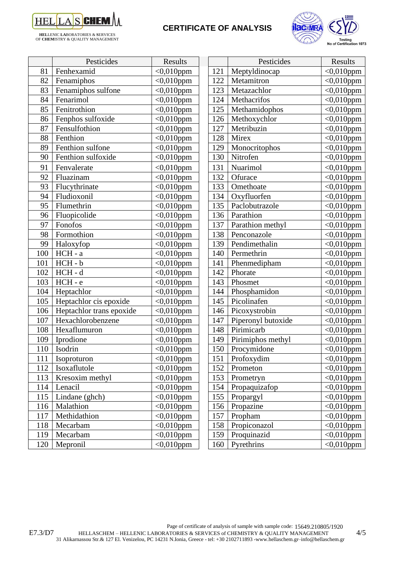

**HEL**LENIC **LA**BORATORIES & **S**ERVICES OF **CHEM**ISTRY & QUALITY MANAGEMENT

# **CERTIFICATE OF ANALYSIS**



|     | Pesticides               | Results                 |     | Pesticides         | Results                 |
|-----|--------------------------|-------------------------|-----|--------------------|-------------------------|
| 81  | Fenhexamid               | $<0,010$ ppm            | 121 | Meptyldinocap      | $<0,010$ ppm            |
| 82  | Fenamiphos               | $<0,010$ ppm            | 122 | Metamitron         | $<0,010$ ppm            |
| 83  | Fenamiphos sulfone       | $<0,010$ ppm            | 123 | Metazachlor        | $<0,010$ ppm            |
| 84  | Fenarimol                | $<0,010$ ppm            | 124 | Methacrifos        | $<0,010$ ppm            |
| 85  | Fenitrothion             | $<0,010$ ppm            | 125 | Methamidophos      | $\overline{<}0,010$ ppm |
| 86  | Fenphos sulfoxide        | $<0,010$ ppm            | 126 | Methoxychlor       | $<$ 0,010ppm            |
| 87  | Fensulfothion            | $<0,010$ ppm            | 127 | Metribuzin         | $<0,010$ ppm            |
| 88  | Fenthion                 | $<0,010$ ppm            | 128 | Mirex              | $<$ 0,010ppm            |
| 89  | Fenthion sulfone         | $<0,010$ ppm            | 129 | Monocritophos      | $<0,010$ ppm            |
| 90  | Fenthion sulfoxide       | $<0,010$ ppm            | 130 | Nitrofen           | $<0,010$ ppm            |
| 91  | Fenvalerate              | $<$ 0,010ppm            | 131 | Nuarimol           | $<$ 0,010ppm            |
| 92  | Fluazinam                | $<$ 0,010ppm            | 132 | Ofurace            | $\sqrt{0.010}$ ppm      |
| 93  | Flucythrinate            | $<0,010$ ppm            | 133 | Omethoate          | $<0,010$ ppm            |
| 94  | Fludioxonil              | $<0,010$ ppm            | 134 | Oxyfluorfen        | $<0,010$ ppm            |
| 95  | Flumethrin               | $<0,010$ ppm            | 135 | Paclobutrazole     | $<$ 0,010ppm            |
| 96  | Fluopicolide             | $\overline{<}0,010$ ppm | 136 | Parathion          | $<$ 0,010ppm            |
| 97  | Fonofos                  | $<0,010$ ppm            | 137 | Parathion methyl   | $<0,010$ ppm            |
| 98  | Formothion               | $<0,010$ ppm            | 138 | Penconazole        | $<$ 0,010ppm            |
| 99  | Haloxyfop                | $<0,010$ ppm            | 139 | Pendimethalin      | $<0,010$ ppm            |
| 100 | HCH - a                  | $<$ 0,010ppm            | 140 | Permethrin         | $<$ 0,010ppm            |
| 101 | HCH-b                    | $<$ 0,010ppm            | 141 | Phenmedipham       | $<$ 0,010ppm            |
| 102 | $HCH - d$                | $<0,010$ ppm            | 142 | Phorate            | $<0,010$ ppm            |
| 103 | HCH-e                    | $<$ 0,010ppm            | 143 | Phosmet            | $<$ 0,010ppm            |
| 104 | Heptachlor               | $<$ 0,010ppm            | 144 | Phosphamidon       | $<0,010$ ppm            |
| 105 | Heptachlor cis epoxide   | $<0,010$ ppm            | 145 | Picolinafen        | $<0,010$ ppm            |
| 106 | Heptachlor trans epoxide | $<0,010$ ppm            | 146 | Picoxystrobin      | $<$ 0,010ppm            |
| 107 | Hexachlorobenzene        | $<0,010$ ppm            | 147 | Piperonyl butoxide | $<0,010$ ppm            |
| 108 | Hexaflumuron             | $<0,010$ ppm            | 148 | Pirimicarb         | $<$ 0,010ppm            |
| 109 | Iprodione                | $<$ 0,010ppm            | 149 | Pirimiphos methyl  | $<$ 0,010ppm            |
| 110 | Isodrin                  | $<0,010$ ppm            | 150 | Procymidone        | $<0,010$ ppm            |
| 111 | Isoproturon              | $<0,010$ ppm            | 151 | Profoxydim         | $<0,010$ ppm            |
| 112 | Isoxaflutole             | $<0,010$ ppm            | 152 | Prometon           | $<0,010$ ppm            |
| 113 | Kresoxim methyl          | $<0,010$ ppm            | 153 | Prometryn          | $<0,010$ ppm            |
| 114 | Lenacil                  | $<0,010$ ppm            | 154 | Propaquizafop      | $<0,010$ ppm            |
| 115 | Lindane (ghch)           | $<0,010$ ppm            | 155 | Propargyl          | $<0,010$ ppm            |
| 116 | Malathion                | $<0,010$ ppm            | 156 | Propazine          | $<0,010$ ppm            |
| 117 | Methidathion             | $<0,010$ ppm            | 157 | Propham            | $<0,010$ ppm            |
| 118 | Mecarbam                 | $<0,010$ ppm            | 158 | Propiconazol       | $<0,010$ ppm            |
| 119 | Mecarbam                 | $<0,010$ ppm            | 159 | Proquinazid        | $<0,010$ ppm            |
| 120 | Mepronil                 | $<0,010$ ppm            | 160 | Pyrethrins         | $<0,010$ ppm            |